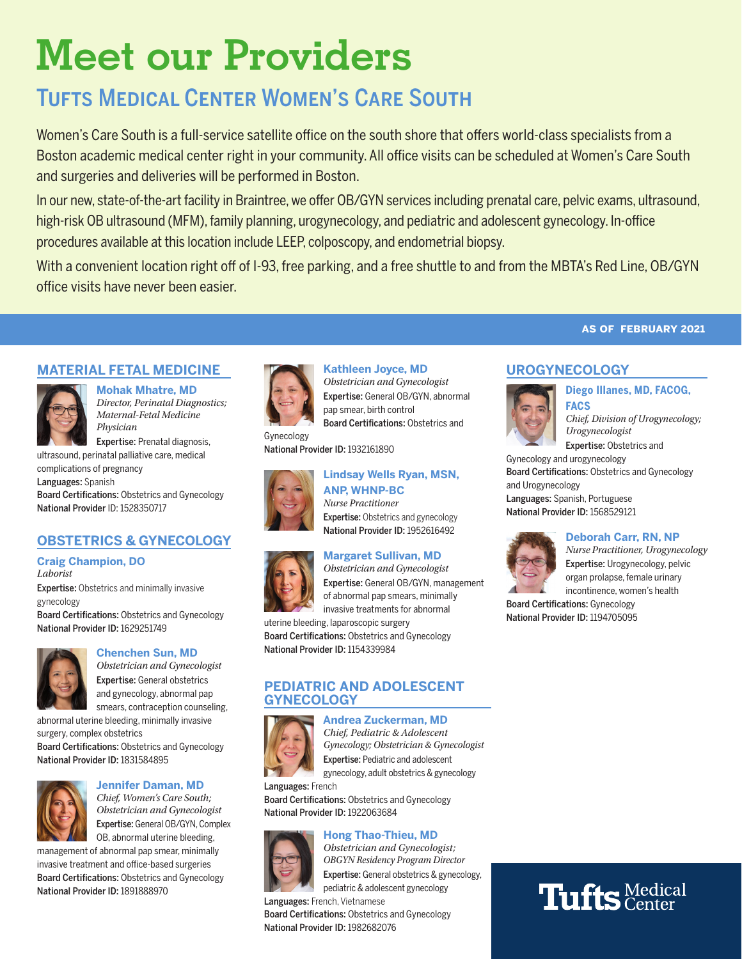# **Meet our Providers**

## Tufts Medical Center Women's Care South

Women's Care South is a full-service satellite office on the south shore that offers world-class specialists from a Boston academic medical center right in your community. All office visits can be scheduled at Women's Care South and surgeries and deliveries will be performed in Boston.

In our new, state-of-the-art facility in Braintree, we offer OB/GYN services including prenatal care, pelvic exams, ultrasound, high-risk OB ultrasound (MFM), family planning, urogynecology, and pediatric and adolescent gynecology. In-office procedures available at this location include LEEP, colposcopy, and endometrial biopsy.

With a convenient location right off of I-93, free parking, and a free shuttle to and from the MBTA's Red Line, OB/GYN office visits have never been easier.

## **MATERIAL FETAL MEDICINE**



**Mohak Mhatre, MD** *Director, Perinatal Diagnostics; Maternal-Fetal Medicine Physician*

Expertise: Prenatal diagnosis, ultrasound, perinatal palliative care, medical

complications of pregnancy Languages: Spanish Board Certifications: Obstetrics and Gynecology National Provider ID: 1528350717

## **OBSTETRICS & GYNECOLOGY**

#### **Craig Champion, DO** *Laborist*

**Expertise:** Obstetrics and minimally invasive gynecology Board Certifications: Obstetrics and Gynecology

National Provider ID: 1629251749



## **Chenchen Sun, MD**

*Obstetrician and Gynecologist* Expertise: General obstetrics and gynecology, abnormal pap smears, contraception counseling,

abnormal uterine bleeding, minimally invasive surgery, complex obstetrics

Board Certifications: Obstetrics and Gynecology National Provider ID: 1831584895

## **Jennifer Daman, MD**

*Chief, Women's Care South; Obstetrician and Gynecologist* Expertise: General OB/GYN, Complex OB, abnormal uterine bleeding,

management of abnormal pap smear, minimally invasive treatment and office-based surgeries Board Certifications: Obstetrics and Gynecology National Provider ID: 1891888970



**Kathleen Joyce, MD** *Obstetrician and Gynecologist* Expertise: General OB/GYN, abnormal pap smear, birth control Board Certifications: Obstetrics and

Gynecology National Provider ID: 1932161890



#### **ANP, WHNP-BC** *Nurse Practitioner*

Expertise: Obstetrics and gynecology National Provider ID: 1952616492

**Lindsay Wells Ryan, MSN,** 

## **Margaret Sullivan, MD**

*Obstetrician and Gynecologist* Expertise: General OB/GYN, management of abnormal pap smears, minimally invasive treatments for abnormal

uterine bleeding, laparoscopic surgery Board Certifications: Obstetrics and Gynecology National Provider ID: 1154339984

### **PEDIATRIC AND ADOLESCENT GYNECOLOGY**



**Andrea Zuckerman, MD** *Chief, Pediatric & Adolescent Gynecology; Obstetrician & Gynecologist* Expertise: Pediatric and adolescent gynecology, adult obstetrics & gynecology

Languages: French Board Certifications: Obstetrics and Gynecology National Provider ID: 1922063684

## **Hong Thao-Thieu, MD**



*Obstetrician and Gynecologist; OBGYN Residency Program Director* Expertise: General obstetrics & gynecology,

pediatric & adolescent gynecology Languages: French, Vietnamese Board Certifications: Obstetrics and Gynecology National Provider ID: 1982682076

## **as of february 2021**

## **UROGYNECOLOGY**



**Diego Illanes, MD, FACOG, FACS** *Chief, Division of Urogynecology; Urogynecologist*

Expertise: Obstetrics and

Gynecology and urogynecology Board Certifications: Obstetrics and Gynecology and Urogynecology Languages: Spanish, Portuguese National Provider ID: 1568529121



#### **Deborah Carr, RN, NP**

*Nurse Practitioner, Urogynecology* Expertise: Urogynecology, pelvic organ prolapse, female urinary incontinence, women's health

Board Certifications: Gynecology National Provider ID: 1194705095

# **Tufts** Medical